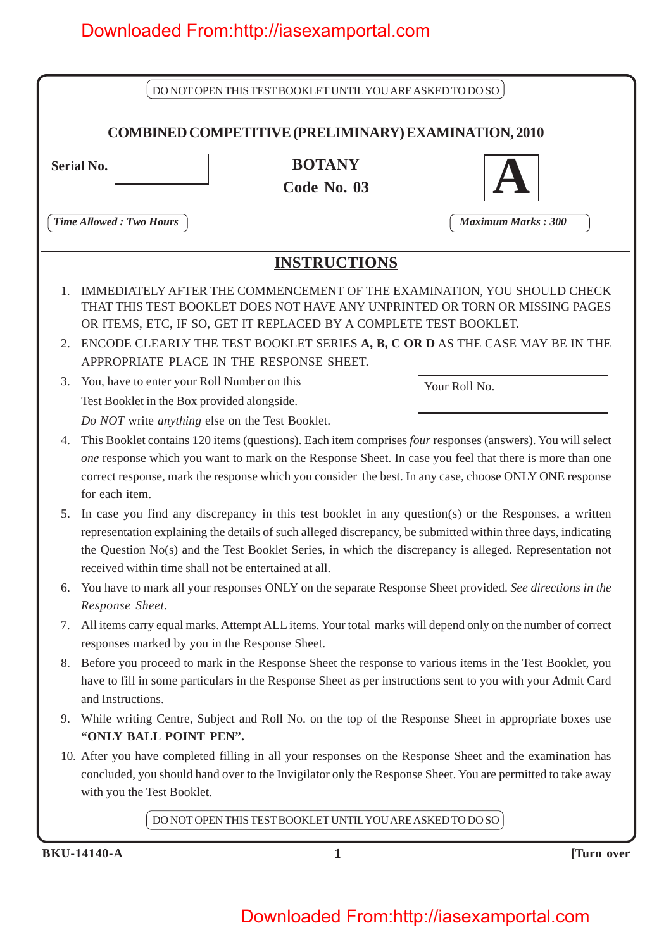|                      |                                                                                                                                                                                                                                                      | DO NOT OPEN THIS TEST BOOKLET UNTIL YOU ARE ASKED TO DO SO        |  |                                                                                                                                                                                                                                                                                                                                  |  |
|----------------------|------------------------------------------------------------------------------------------------------------------------------------------------------------------------------------------------------------------------------------------------------|-------------------------------------------------------------------|--|----------------------------------------------------------------------------------------------------------------------------------------------------------------------------------------------------------------------------------------------------------------------------------------------------------------------------------|--|
|                      |                                                                                                                                                                                                                                                      | <b>COMBINED COMPETITIVE (PRELIMINARY) EXAMINATION, 2010</b>       |  |                                                                                                                                                                                                                                                                                                                                  |  |
|                      |                                                                                                                                                                                                                                                      |                                                                   |  |                                                                                                                                                                                                                                                                                                                                  |  |
| <b>Serial No.</b>    |                                                                                                                                                                                                                                                      | <b>BOTANY</b>                                                     |  |                                                                                                                                                                                                                                                                                                                                  |  |
|                      |                                                                                                                                                                                                                                                      | Code No. 03                                                       |  |                                                                                                                                                                                                                                                                                                                                  |  |
|                      | <b>Time Allowed: Two Hours</b>                                                                                                                                                                                                                       |                                                                   |  | <b>Maximum Marks: 300</b>                                                                                                                                                                                                                                                                                                        |  |
|                      |                                                                                                                                                                                                                                                      |                                                                   |  |                                                                                                                                                                                                                                                                                                                                  |  |
|                      |                                                                                                                                                                                                                                                      | <b>INSTRUCTIONS</b>                                               |  |                                                                                                                                                                                                                                                                                                                                  |  |
| $\mathbf{1}$ .<br>2. |                                                                                                                                                                                                                                                      | OR ITEMS, ETC, IF SO, GET IT REPLACED BY A COMPLETE TEST BOOKLET. |  | IMMEDIATELY AFTER THE COMMENCEMENT OF THE EXAMINATION, YOU SHOULD CHECK<br>THAT THIS TEST BOOKLET DOES NOT HAVE ANY UNPRINTED OR TORN OR MISSING PAGES<br>ENCODE CLEARLY THE TEST BOOKLET SERIES A, B, C OR D AS THE CASE MAY BE IN THE                                                                                          |  |
|                      |                                                                                                                                                                                                                                                      | APPROPRIATE PLACE IN THE RESPONSE SHEET.                          |  |                                                                                                                                                                                                                                                                                                                                  |  |
| 3.                   | You, have to enter your Roll Number on this                                                                                                                                                                                                          |                                                                   |  | Your Roll No.                                                                                                                                                                                                                                                                                                                    |  |
|                      | Test Booklet in the Box provided alongside.                                                                                                                                                                                                          |                                                                   |  |                                                                                                                                                                                                                                                                                                                                  |  |
|                      |                                                                                                                                                                                                                                                      | Do NOT write anything else on the Test Booklet.                   |  |                                                                                                                                                                                                                                                                                                                                  |  |
| 4.                   | for each item.                                                                                                                                                                                                                                       |                                                                   |  | This Booklet contains 120 items (questions). Each item comprises four responses (answers). You will select<br>one response which you want to mark on the Response Sheet. In case you feel that there is more than one<br>correct response, mark the response which you consider the best. In any case, choose ONLY ONE response  |  |
| 5.                   |                                                                                                                                                                                                                                                      | received within time shall not be entertained at all.             |  | In case you find any discrepancy in this test booklet in any question(s) or the Responses, a written<br>representation explaining the details of such alleged discrepancy, be submitted within three days, indicating<br>the Question No(s) and the Test Booklet Series, in which the discrepancy is alleged. Representation not |  |
| 6.                   |                                                                                                                                                                                                                                                      |                                                                   |  | You have to mark all your responses ONLY on the separate Response Sheet provided. See directions in the                                                                                                                                                                                                                          |  |
| 7.                   | Response Sheet.                                                                                                                                                                                                                                      | responses marked by you in the Response Sheet.                    |  | All items carry equal marks. Attempt ALL items. Your total marks will depend only on the number of correct                                                                                                                                                                                                                       |  |
| 8.                   | Before you proceed to mark in the Response Sheet the response to various items in the Test Booklet, you<br>have to fill in some particulars in the Response Sheet as per instructions sent to you with your Admit Card<br>and Instructions.          |                                                                   |  |                                                                                                                                                                                                                                                                                                                                  |  |
| 9.                   | "ONLY BALL POINT PEN".                                                                                                                                                                                                                               |                                                                   |  | While writing Centre, Subject and Roll No. on the top of the Response Sheet in appropriate boxes use                                                                                                                                                                                                                             |  |
|                      | 10. After you have completed filling in all your responses on the Response Sheet and the examination has<br>concluded, you should hand over to the Invigilator only the Response Sheet. You are permitted to take away<br>with you the Test Booklet. |                                                                   |  |                                                                                                                                                                                                                                                                                                                                  |  |
|                      |                                                                                                                                                                                                                                                      | DO NOT OPEN THIS TEST BOOKLET UNTIL YOU ARE ASKED TO DO SO        |  |                                                                                                                                                                                                                                                                                                                                  |  |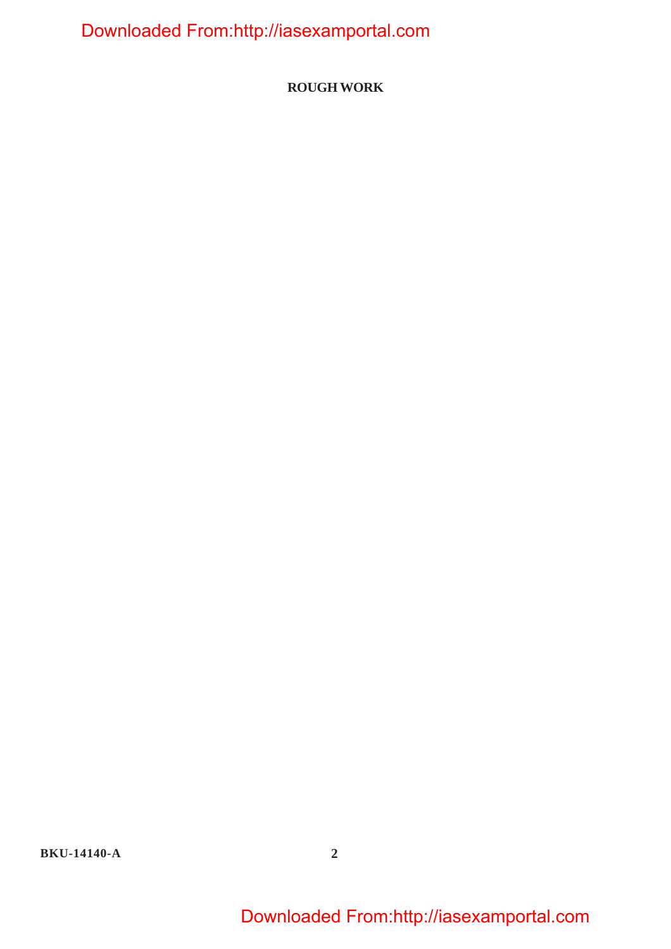**ROUGH WORK**

**BKU-14140-A 2**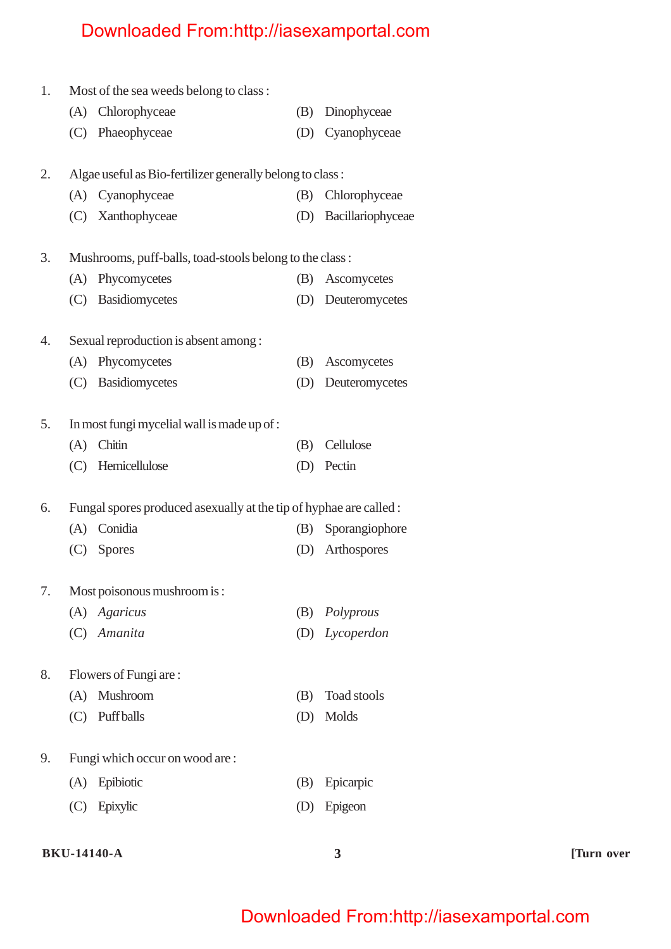| 1. |     | Most of the sea weeds belong to class:                             |     |                   |
|----|-----|--------------------------------------------------------------------|-----|-------------------|
|    |     | (A) Chlorophyceae                                                  | (B) | Dinophyceae       |
|    | (C) | Phaeophyceae                                                       | (D) | Cyanophyceae      |
| 2. |     |                                                                    |     |                   |
|    |     | Algae useful as Bio-fertilizer generally belong to class:          |     |                   |
|    |     | (A) Cyanophyceae                                                   | (B) | Chlorophyceae     |
|    |     | (C) Xanthophyceae                                                  | (D) | Bacillariophyceae |
| 3. |     | Mushrooms, puff-balls, toad-stools belong to the class:            |     |                   |
|    | (A) | Phycomycetes                                                       | (B) | Ascomycetes       |
|    | (C) | Basidiomycetes                                                     | (D) | Deuteromycetes    |
| 4. |     | Sexual reproduction is absent among :                              |     |                   |
|    | (A) | Phycomycetes                                                       | (B) | Ascomycetes       |
|    | (C) | Basidiomycetes                                                     | (D) | Deuteromycetes    |
|    |     |                                                                    |     |                   |
| 5. |     | In most fungi mycelial wall is made up of :                        |     |                   |
|    | (A) | Chitin                                                             | (B) | Cellulose         |
|    |     | (C) Hemicellulose                                                  | (D) | Pectin            |
| 6. |     | Fungal spores produced as exually at the tip of hyphae are called: |     |                   |
|    | (A) | Conidia                                                            | (B) | Sporangiophore    |
|    | (C) | <b>Spores</b>                                                      | (D) | Arthospores       |
| 7. |     | Most poisonous mushroom is:                                        |     |                   |
|    | (A) | Agaricus                                                           | (B) | Polyprous         |
|    |     | (C) Amanita                                                        | (D) | Lycoperdon        |
|    |     |                                                                    |     |                   |
| 8. |     | Flowers of Fungi are:                                              |     |                   |
|    | (A) | Mushroom                                                           | (B) | Toad stools       |
|    | (C) | <b>Puff</b> balls                                                  | (D) | Molds             |
| 9. |     | Fungi which occur on wood are:                                     |     |                   |
|    | (A) | Epibiotic                                                          | (B) | Epicarpic         |
|    |     |                                                                    |     |                   |
|    | (C) | Epixylic                                                           | (D) | Epigeon           |
|    |     |                                                                    |     |                   |

#### **BKU-14140-A 3 [Turn over**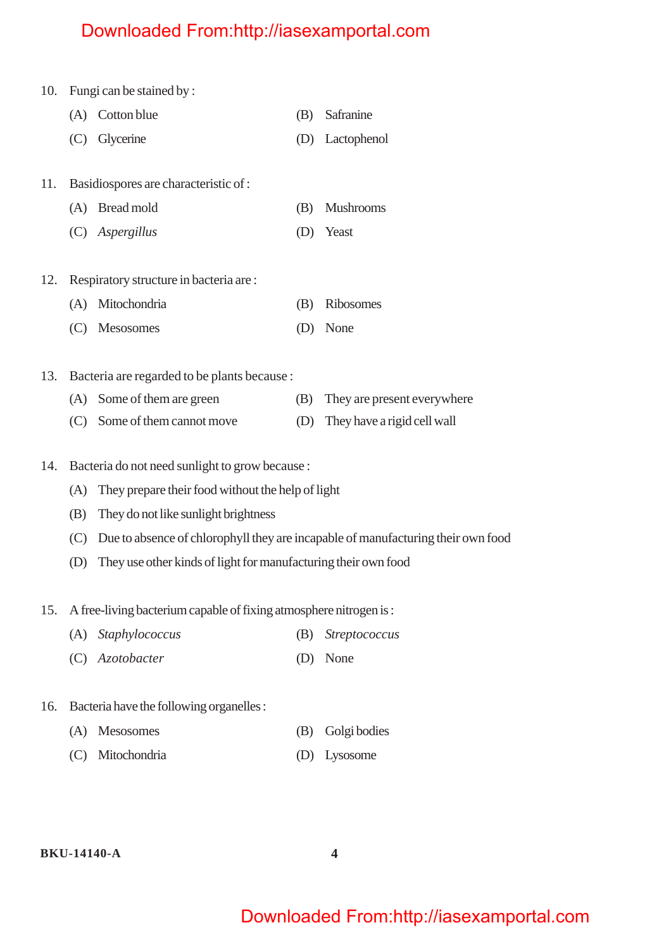| 10. |     | Fungi can be stained by:                                                         |     |                             |
|-----|-----|----------------------------------------------------------------------------------|-----|-----------------------------|
|     | (A) | Cotton blue                                                                      | (B) | Safranine                   |
|     | (C) | Glycerine                                                                        | (D) | Lactophenol                 |
|     |     |                                                                                  |     |                             |
| 11. |     | Basidiospores are characteristic of :                                            |     |                             |
|     | (A) | Bread mold                                                                       | (B) | <b>Mushrooms</b>            |
|     | (C) | Aspergillus                                                                      | (D) | Yeast                       |
|     |     |                                                                                  |     |                             |
| 12. |     | Respiratory structure in bacteria are:                                           |     |                             |
|     | (A) | Mitochondria                                                                     | (B) | Ribosomes                   |
|     | (C) | Mesosomes                                                                        | (D) | None                        |
|     |     |                                                                                  |     |                             |
| 13. |     | Bacteria are regarded to be plants because :                                     |     |                             |
|     | (A) | Some of them are green                                                           | (B) | They are present everywhere |
|     | (C) | Some of them cannot move                                                         | (D) | They have a rigid cell wall |
|     |     |                                                                                  |     |                             |
| 14. |     | Bacteria do not need sunlight to grow because :                                  |     |                             |
|     | (A) | They prepare their food without the help of light                                |     |                             |
|     | (B) | They do not like sunlight brightness                                             |     |                             |
|     | (C) | Due to absence of chlorophyll they are incapable of manufacturing their own food |     |                             |
|     |     |                                                                                  |     |                             |

(D) They use other kinds of light for manufacturing their own food

15. A free-living bacterium capable of fixing atmosphere nitrogen is :

- (A) *Staphylococcus* (B) *Streptococcus*
- (C) *Azotobacter* (D) None
- 16. Bacteria have the following organelles :
	- (A) Mesosomes (B) Golgi bodies
	- (C) Mitochondria (D) Lysosome

#### **BKU-14140-A 4**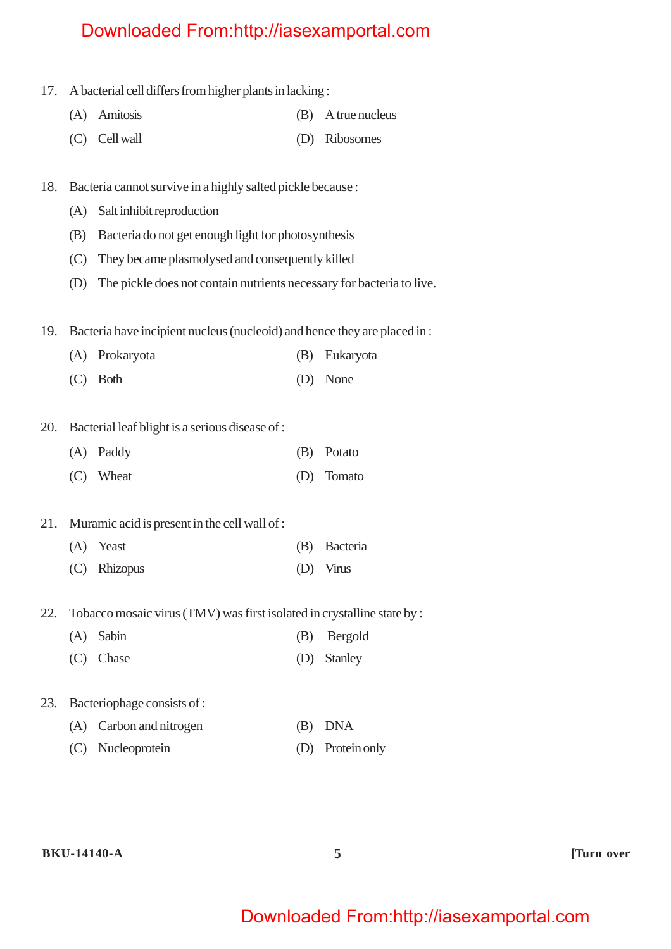- 17. A bacterial cell differs from higher plants in lacking :
	- (A) Amitosis (B) A true nucleus
	- (C) Cell wall (D) Ribosomes
- 18. Bacteria cannot survive in a highly salted pickle because :
	- (A) Salt inhibit reproduction
	- (B) Bacteria do not get enough light for photosynthesis
	- (C) They became plasmolysed and consequently killed
	- (D) The pickle does not contain nutrients necessary for bacteria to live.
- 19. Bacteria have incipient nucleus (nucleoid) and hence they are placed in :
	- (A) Prokaryota (B) Eukaryota
	- (C) Both (D) None
- 20. Bacterial leaf blight is a serious disease of :

| (A) Paddy | (B) Potato |
|-----------|------------|
| (C) Wheat | (D) Tomato |

- 21. Muramic acid is present in the cell wall of :
	- (A) Yeast (B) Bacteria (C) Rhizopus (D) Virus
- 22. Tobacco mosaic virus (TMV) was first isolated in crystalline state by :
	- (A) Sabin (B) Bergold
	- (C) Chase (D) Stanley
- 23. Bacteriophage consists of :
	- (A) Carbon and nitrogen (B) DNA
	- (C) Nucleoprotein (D) Protein only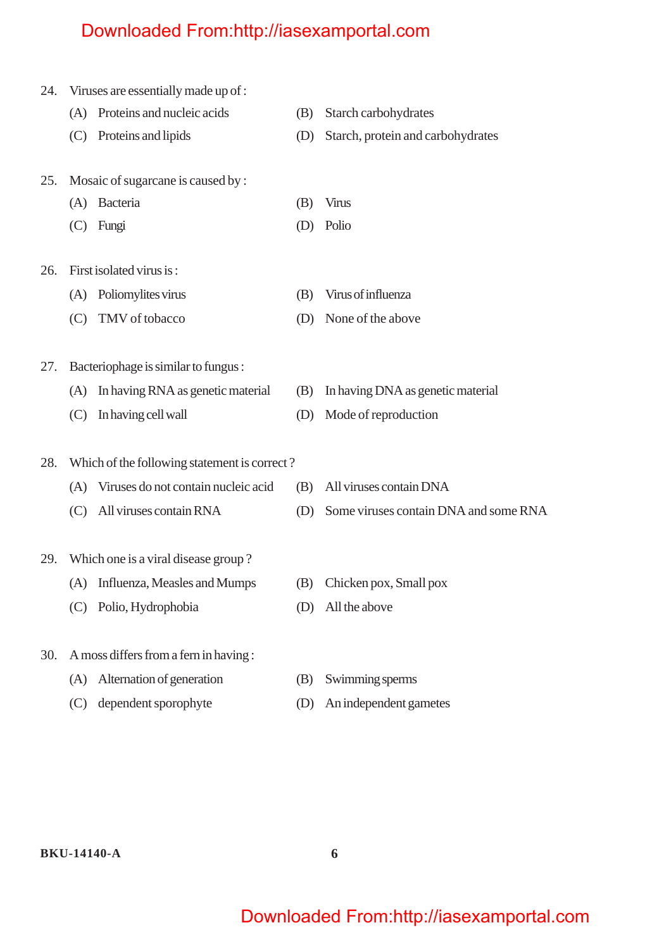| 24. |     | Viruses are essentially made up of:          |     |                                       |
|-----|-----|----------------------------------------------|-----|---------------------------------------|
|     | (A) | Proteins and nucleic acids                   | (B) | Starch carbohydrates                  |
|     | (C) | Proteins and lipids                          | (D) | Starch, protein and carbohydrates     |
| 25. |     | Mosaic of sugarcane is caused by:            |     |                                       |
|     | (A) | Bacteria                                     | (B) | <b>Virus</b>                          |
|     | (C) | Fungi                                        | (D) | Polio                                 |
| 26. |     | First isolated virus is:                     |     |                                       |
|     | (A) | Poliomylites virus                           | (B) | Virus of influenza                    |
|     | (C) | TMV of tobacco                               | (D) | None of the above                     |
| 27. |     | Bacteriophage is similar to fungus:          |     |                                       |
|     | (A) | In having RNA as genetic material            | (B) | In having DNA as genetic material     |
|     | (C) | In having cell wall                          | (D) | Mode of reproduction                  |
| 28. |     | Which of the following statement is correct? |     |                                       |
|     | (A) | Viruses do not contain nucleic acid          | (B) | All viruses contain DNA               |
|     | (C) | All viruses contain RNA                      | (D) | Some viruses contain DNA and some RNA |
| 29. |     | Which one is a viral disease group?          |     |                                       |
|     |     | (A) Influenza, Measles and Mumps             |     | (B) Chicken pox, Small pox            |
|     | (C) | Polio, Hydrophobia                           | (D) | All the above                         |
| 30. |     | A moss differs from a fern in having:        |     |                                       |
|     | (A) | Alternation of generation                    | (B) | Swimming sperms                       |
|     | (C) | dependent sporophyte                         | (D) | An independent gametes                |
|     |     |                                              |     |                                       |

**BKU-14140-A 6**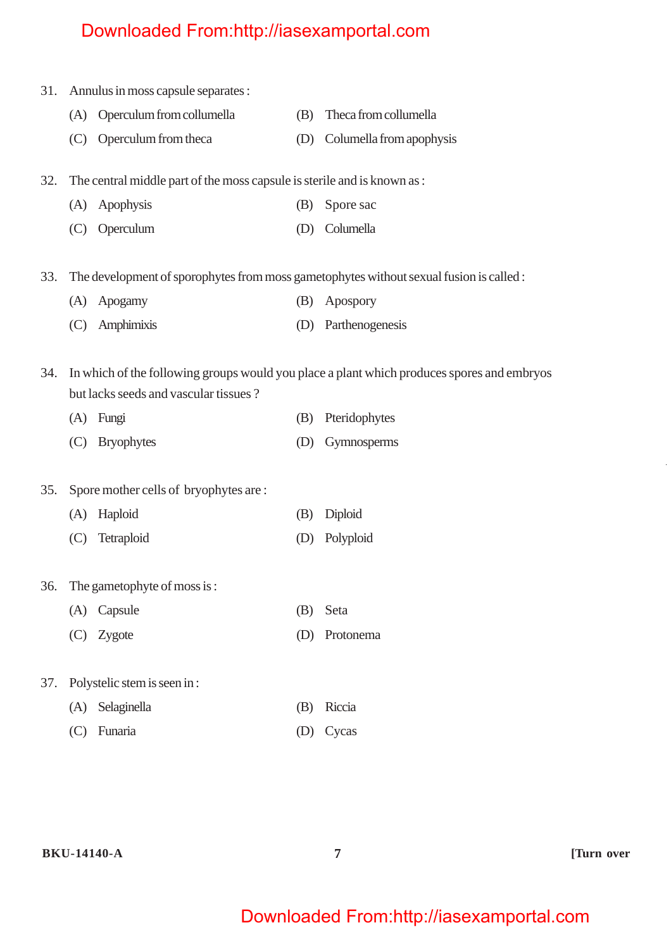| 31. |     | Annulus in moss capsule separates :                                      |     |                                                                                            |
|-----|-----|--------------------------------------------------------------------------|-----|--------------------------------------------------------------------------------------------|
|     | (A) | Operculum from collumella                                                | (B) | Theca from collumella                                                                      |
|     | (C) | Operculum from theca                                                     | (D) | Columella from apophysis                                                                   |
| 32. |     | The central middle part of the moss capsule is sterile and is known as : |     |                                                                                            |
|     |     | (A) Apophysis                                                            | (B) | Spore sac                                                                                  |
|     | (C) | Operculum                                                                | (D) | Columella                                                                                  |
| 33. |     |                                                                          |     | The development of sporophytes from moss gametophytes without sexual fusion is called :    |
|     | (A) | Apogamy                                                                  | (B) | Apospory                                                                                   |
|     | (C) | Amphimixis                                                               | (D) | Parthenogenesis                                                                            |
| 34. |     | but lacks seeds and vascular tissues?                                    |     | In which of the following groups would you place a plant which produces spores and embryos |
|     | (A) | Fungi                                                                    | (B) | Pteridophytes                                                                              |
|     | (C) | <b>Bryophytes</b>                                                        | (D) | Gymnosperms                                                                                |
| 35. |     | Spore mother cells of bryophytes are:                                    |     |                                                                                            |
|     | (A) | Haploid                                                                  | (B) | Diploid                                                                                    |
|     | (C) | Tetraploid                                                               | (D) | Polyploid                                                                                  |
|     |     | 36. The gametophyte of moss is:                                          |     |                                                                                            |
|     | (A) | Capsule                                                                  | (B) | Seta                                                                                       |
|     | (C) | Zygote                                                                   | (D) | Protonema                                                                                  |
| 37. |     | Polystelic stem is seen in:                                              |     |                                                                                            |
|     | (A) | Selaginella                                                              | (B) | Riccia                                                                                     |
|     | (C) | Funaria                                                                  | (D) | Cycas                                                                                      |
|     |     |                                                                          |     |                                                                                            |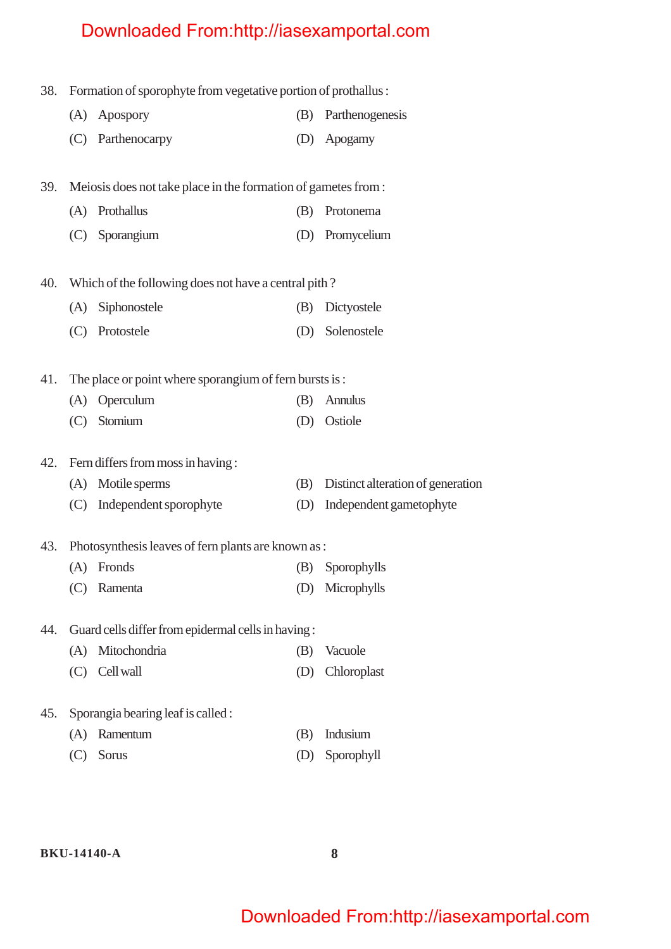38. Formation of sporophyte from vegetative portion of prothallus :

| (A) Apospory      | (B) Parthenogenesis |
|-------------------|---------------------|
| (C) Parthenocarpy | (D) Apogamy         |

39. Meiosis does not take place in the formation of gametes from :

(A) Prothallus (B) Protonema (C) Sporangium (D) Promycelium

40. Which of the following does not have a central pith ?

| (A) Siphonostele | (B) Dictyostele |
|------------------|-----------------|
| (C) Protostele   | (D) Solenostele |

41. The place or point where sporangium of fern bursts is :

| (A) Operculum | (B) Annulus |
|---------------|-------------|
|               |             |

(C) Stomium (D) Ostiole

42. Fern differs from moss in having :

| (A) Motile sperms          | (B) Distinct alteration of generation |
|----------------------------|---------------------------------------|
| (C) Independent sporophyte | (D) Independent gametophyte           |

#### 43. Photosynthesis leaves of fern plants are known as :

| (A) Fronds  | (B) Sporophylls |
|-------------|-----------------|
| (C) Ramenta | (D) Microphylls |

#### 44. Guard cells differ from epidermal cells in having :

| (A) Mitochondria                  | (B) Vacuole |
|-----------------------------------|-------------|
| $\sqrt{2}$ $\sqrt{2}$ $\sqrt{11}$ |             |

- (C) Cell wall (D) Chloroplast
- 45. Sporangia bearing leaf is called :
	- (A) Ramentum (B) Indusium
	- (C) Sorus (D) Sporophyll

**BKU-14140-A 8**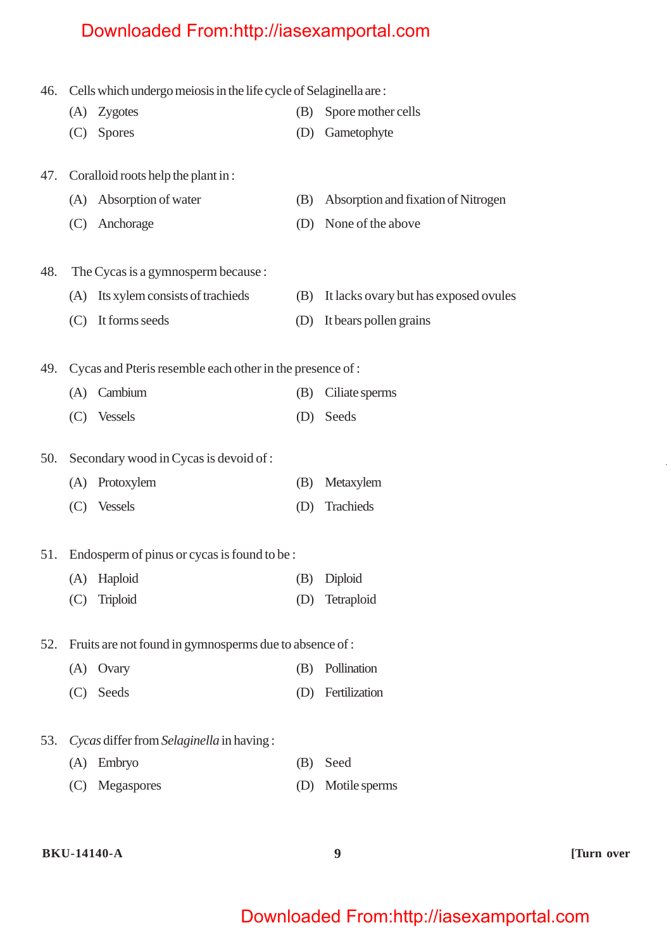| 46. | Cells which undergo meiosis in the life cycle of Selaginella are: |  |  |
|-----|-------------------------------------------------------------------|--|--|
|     |                                                                   |  |  |

- (A) Zygotes (B) Spore mother cells
- (C) Spores (D) Gametophyte
- 47. Coralloid roots help the plant in :
	- (A) Absorption of water (B) Absorption and fixation of Nitrogen (C) Anchorage (D) None of the above
- 48. The Cycas is a gymnosperm because :
	- (A) Its xylem consists of trachieds (B) It lacks ovary but has exposed ovules (C) It forms seeds (D) It bears pollen grains

49. Cycas and Pteris resemble each other in the presence of :

| (A) Cambium | (B) Ciliate sperms |
|-------------|--------------------|
| (C) Vessels | (D) Seeds          |

50. Secondary wood in Cycas is devoid of :

- (A) Protoxylem (B) Metaxylem
- (C) Vessels (D) Trachieds

#### 51. Endosperm of pinus or cycas is found to be :

(A) Haploid (B) Diploid (C) Triploid (D) Tetraploid

52. Fruits are not found in gymnosperms due to absence of :

- (A) Ovary (B) Pollination
- (C) Seeds (D) Fertilization
- 53. *Cycas* differ from *Selaginella* in having :
	- (A) Embryo (B) Seed
	- (C) Megaspores (D) Motile sperms

#### **BKU-14140-A 9 [Turn over**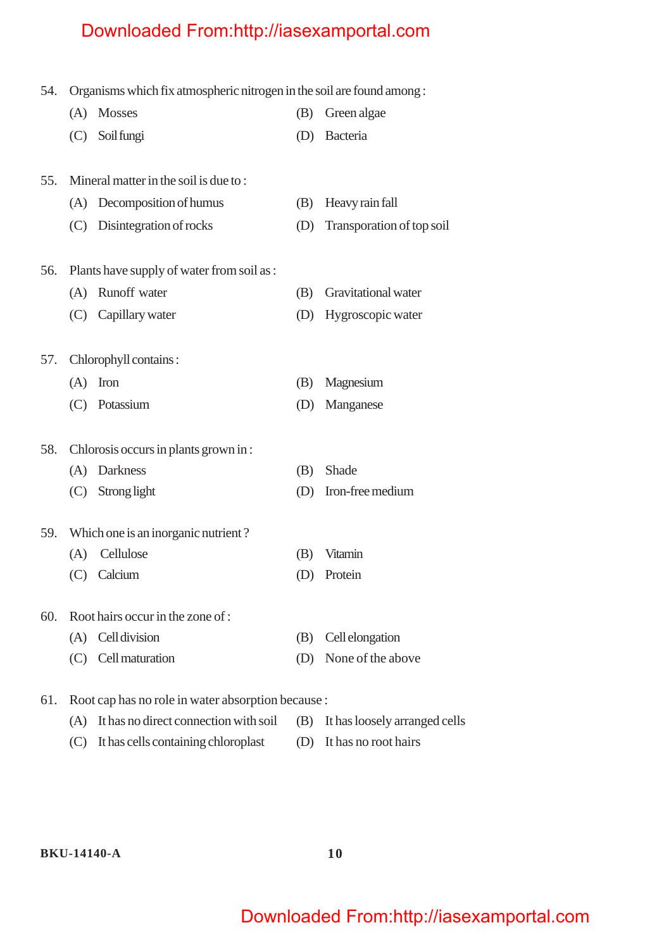| 54. | Organisms which fix atmospheric nitrogen in the soil are found among: |                                                    |     |                                   |
|-----|-----------------------------------------------------------------------|----------------------------------------------------|-----|-----------------------------------|
|     |                                                                       | (A) Mosses                                         | (B) | Green algae                       |
|     | (C)                                                                   | Soil fungi                                         |     | (D) Bacteria                      |
| 55. |                                                                       | Mineral matter in the soil is due to:              |     |                                   |
|     |                                                                       | (A) Decomposition of humus                         | (B) | Heavy rain fall                   |
|     |                                                                       | (C) Disintegration of rocks                        | (D) | Transporation of top soil         |
| 56. |                                                                       | Plants have supply of water from soil as :         |     |                                   |
|     | (A)                                                                   | Runoff water                                       | (B) | Gravitational water               |
|     |                                                                       | (C) Capillary water                                | (D) | Hygroscopic water                 |
| 57. |                                                                       | Chlorophyll contains:                              |     |                                   |
|     |                                                                       | $(A)$ Iron                                         | (B) | Magnesium                         |
|     |                                                                       | (C) Potassium                                      | (D) | Manganese                         |
| 58. |                                                                       | Chlorosis occurs in plants grown in:               |     |                                   |
|     |                                                                       | (A) Darkness                                       | (B) | Shade                             |
|     |                                                                       | (C) Strong light                                   | (D) | Iron-free medium                  |
| 59. |                                                                       | Which one is an inorganic nutrient?                |     |                                   |
|     | (A)                                                                   | Cellulose                                          | (B) | Vitamin                           |
|     |                                                                       | (C) Calcium                                        |     | (D) Protein                       |
| 60. |                                                                       | Root hairs occur in the zone of :                  |     |                                   |
|     | (A)                                                                   | Cell division                                      | (B) | Cell elongation                   |
|     | (C)                                                                   | Cell maturation                                    | (D) | None of the above                 |
| 61. |                                                                       | Root cap has no role in water absorption because : |     |                                   |
|     |                                                                       | (A) It has no direct connection with soil          |     | (B) It has loosely arranged cells |

(C) It has cells containing chloroplast (D) It has no root hairs

**BKU-14140-A 10**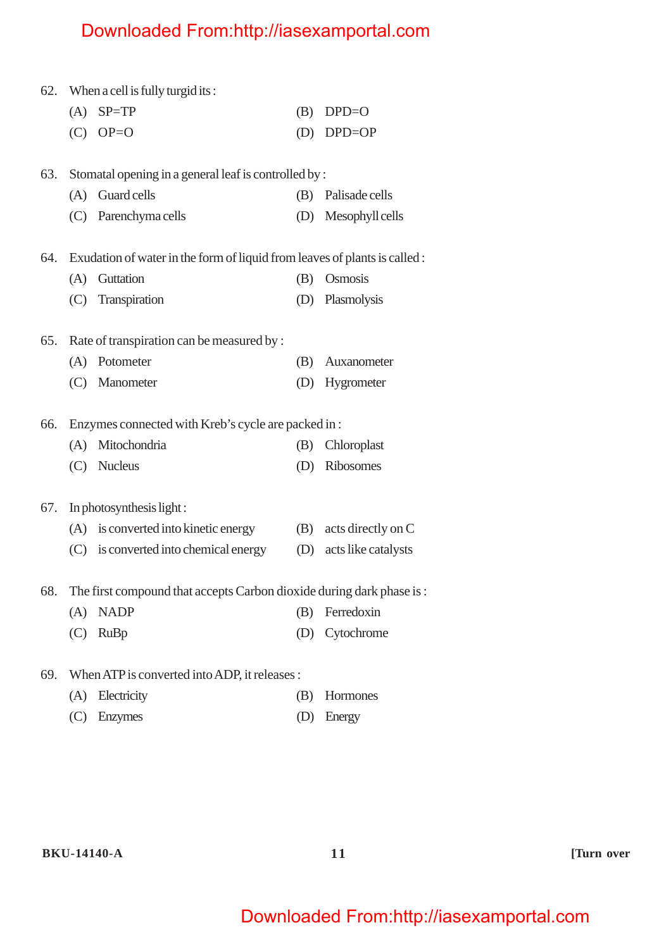|     |     | 62. When a cell is fully turgid its:                                       |     |                     |
|-----|-----|----------------------------------------------------------------------------|-----|---------------------|
|     | (A) | $SP = TP$                                                                  | (B) | $DPD = O$           |
|     | (C) | $OP = O$                                                                   | (D) | $DPD = OP$          |
|     |     |                                                                            |     |                     |
| 63. |     | Stomatal opening in a general leaf is controlled by :                      |     |                     |
|     | (A) | Guard cells                                                                |     | (B) Palisade cells  |
|     |     | (C) Parenchyma cells                                                       |     | (D) Mesophyll cells |
| 64. |     | Exudation of water in the form of liquid from leaves of plants is called : |     |                     |
|     | (A) | Guttation                                                                  | (B) | Osmosis             |
|     | (C) | Transpiration                                                              |     | (D) Plasmolysis     |
| 65. |     | Rate of transpiration can be measured by :                                 |     |                     |
|     | (A) | Potometer                                                                  | (B) | Auxanometer         |
|     |     | (C) Manometer                                                              |     | (D) Hygrometer      |
|     |     |                                                                            |     |                     |
| 66. |     | Enzymes connected with Kreb's cycle are packed in :                        |     |                     |
|     | (A) | Mitochondria                                                               | (B) | Chloroplast         |
|     |     | (C) Nucleus                                                                | (D) | Ribosomes           |
| 67. |     | In photosynthesis light:                                                   |     |                     |
|     |     | (A) is converted into kinetic energy                                       | (B) | acts directly on C  |
|     |     | (C) is converted into chemical energy                                      | (D) | acts like catalysts |
|     |     |                                                                            |     |                     |
| 68. |     | The first compound that accepts Carbon dioxide during dark phase is:       |     |                     |
|     | (A) | <b>NADP</b>                                                                | (B) | Ferredoxin          |
|     | (C) | <b>RuBp</b>                                                                | (D) | Cytochrome          |
| 69. |     | When ATP is converted into ADP, it releases :                              |     |                     |
|     | (A) | Electricity                                                                | (B) | Hormones            |

(C) Enzymes (D) Energy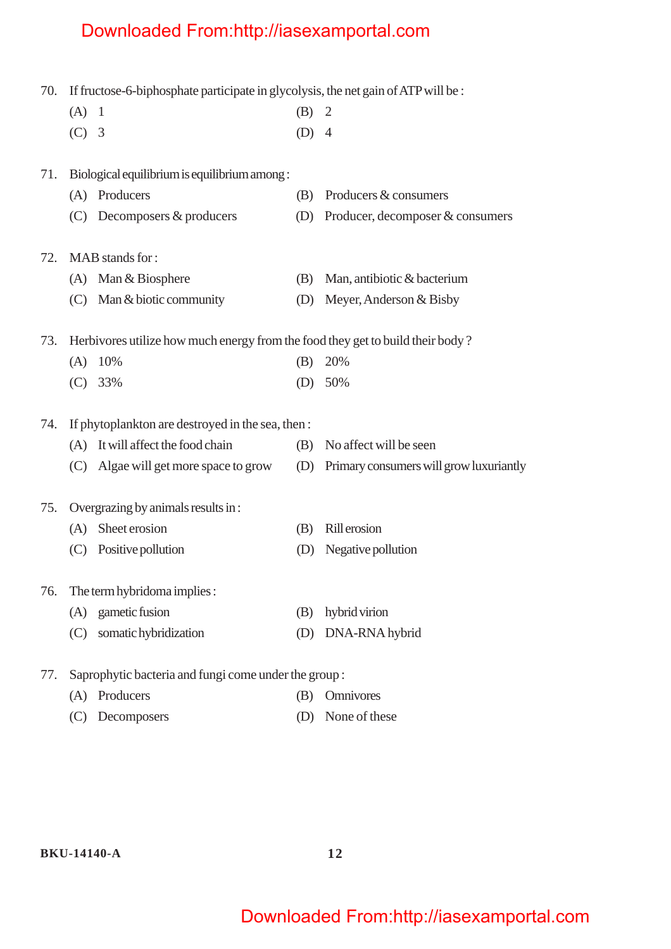| 70. | If fructose-6-biphosphate participate in glycolysis, the net gain of ATP will be : |                                                                                |         |                                         |  |
|-----|------------------------------------------------------------------------------------|--------------------------------------------------------------------------------|---------|-----------------------------------------|--|
|     | $(A)$ 1                                                                            |                                                                                | (B) 2   |                                         |  |
|     | $(C)$ 3                                                                            |                                                                                | $(D)$ 4 |                                         |  |
|     |                                                                                    |                                                                                |         |                                         |  |
| 71. |                                                                                    | Biological equilibrium is equilibrium among :                                  |         |                                         |  |
|     |                                                                                    | (A) Producers                                                                  | (B)     | Producers & consumers                   |  |
|     |                                                                                    | $(C)$ Decomposers & producers                                                  | (D)     | Producer, decomposer & consumers        |  |
| 72. |                                                                                    | MAB stands for:                                                                |         |                                         |  |
|     |                                                                                    | (A) Man & Biosphere                                                            | (B)     | Man, antibiotic & bacterium             |  |
|     |                                                                                    | (C) Man & biotic community                                                     | (D)     | Meyer, Anderson & Bisby                 |  |
| 73. |                                                                                    | Herbivores utilize how much energy from the food they get to build their body? |         |                                         |  |
|     |                                                                                    | $(A)$ 10%                                                                      | (B)     | 20%                                     |  |
|     |                                                                                    | $(C)$ 33%                                                                      | (D)     | 50%                                     |  |
|     |                                                                                    |                                                                                |         |                                         |  |
| 74. |                                                                                    | If phytoplankton are destroyed in the sea, then :                              |         |                                         |  |
|     |                                                                                    | (A) It will affect the food chain                                              | (B)     | No affect will be seen                  |  |
|     |                                                                                    | (C) Algae will get more space to grow                                          | (D)     | Primary consumers will grow luxuriantly |  |
| 75. |                                                                                    | Overgrazing by animals results in:                                             |         |                                         |  |
|     | (A)                                                                                | Sheet erosion                                                                  | (B)     | Rill erosion                            |  |
|     |                                                                                    | (C) Positive pollution                                                         | (D)     | Negative pollution                      |  |
| 76. |                                                                                    | The term hybridoma implies :                                                   |         |                                         |  |
|     | (A)                                                                                | gametic fusion                                                                 | (B)     | hybrid virion                           |  |
|     | (C)                                                                                | somatic hybridization                                                          | (D)     | DNA-RNA hybrid                          |  |
|     |                                                                                    |                                                                                |         |                                         |  |
| 77. |                                                                                    | Saprophytic bacteria and fungi come under the group:                           |         |                                         |  |
|     | (A)                                                                                | Producers                                                                      | (B)     | Omnivores                               |  |

(C) Decomposers (D) None of these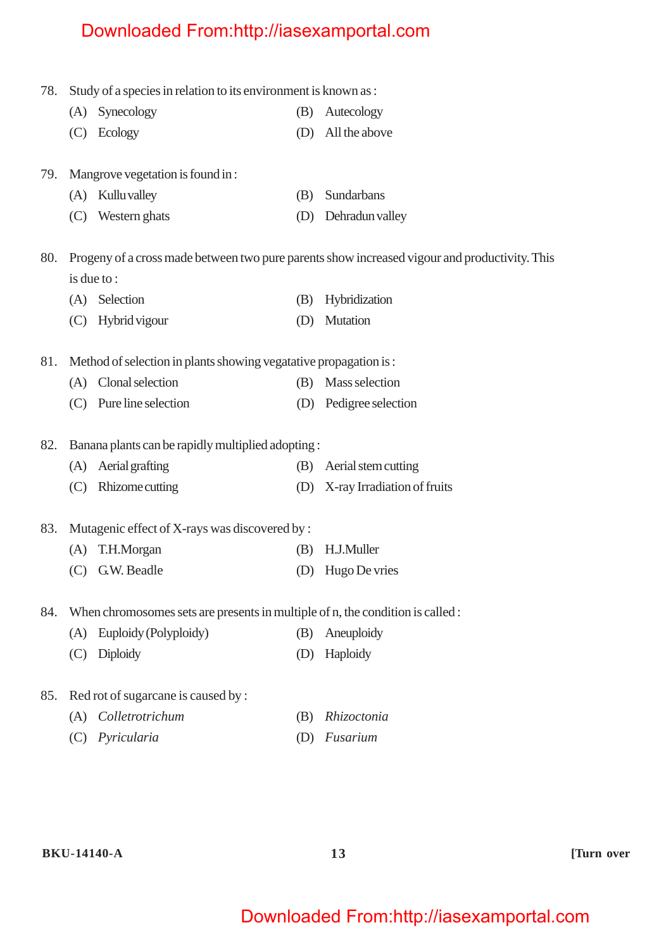| 78. |     | Study of a species in relation to its environment is known as :                |     |                                                                                               |
|-----|-----|--------------------------------------------------------------------------------|-----|-----------------------------------------------------------------------------------------------|
|     |     | (A) Synecology                                                                 | (B) | Autecology                                                                                    |
|     |     | (C) Ecology                                                                    | (D) | All the above                                                                                 |
| 79. |     | Mangrove vegetation is found in:                                               |     |                                                                                               |
|     | (A) | Kullu valley                                                                   | (B) | Sundarbans                                                                                    |
|     |     | (C) Western ghats                                                              | (D) | Dehradun valley                                                                               |
| 80. |     |                                                                                |     | Progeny of a cross made between two pure parents show increased vigour and productivity. This |
|     |     | is due to:                                                                     |     |                                                                                               |
|     | (A) | Selection                                                                      | (B) | Hybridization                                                                                 |
|     | (C) | Hybrid vigour                                                                  | (D) | Mutation                                                                                      |
| 81. |     | Method of selection in plants showing vegatative propagation is:               |     |                                                                                               |
|     |     | (A) Clonal selection                                                           | (B) | Mass selection                                                                                |
|     |     | (C) Pure line selection                                                        |     | (D) Pedigree selection                                                                        |
| 82. |     | Banana plants can be rapidly multiplied adopting:                              |     |                                                                                               |
|     | (A) | Aerial grafting                                                                | (B) | Aerial stem cutting                                                                           |
|     | (C) | Rhizome cutting                                                                |     | (D) X-ray Irradiation of fruits                                                               |
| 83. |     | Mutagenic effect of X-rays was discovered by :                                 |     |                                                                                               |
|     | (A) | T.H.Morgan                                                                     | (B) | H.J.Muller                                                                                    |
|     | (C) | G.W. Beadle                                                                    | (D) | Hugo De vries                                                                                 |
| 84. |     | When chromosomes sets are presents in multiple of n, the condition is called : |     |                                                                                               |
|     | (A) | Euploidy (Polyploidy)                                                          | (B) | Aneuploidy                                                                                    |
|     | (C) | <b>Diploidy</b>                                                                | (D) | Haploidy                                                                                      |
| 85. |     | Red rot of sugarcane is caused by :                                            |     |                                                                                               |
|     | (A) | Colletrotrichum                                                                | (B) | Rhizoctonia                                                                                   |
|     | (C) | Pyricularia                                                                    | (D) | Fusarium                                                                                      |
|     |     |                                                                                |     |                                                                                               |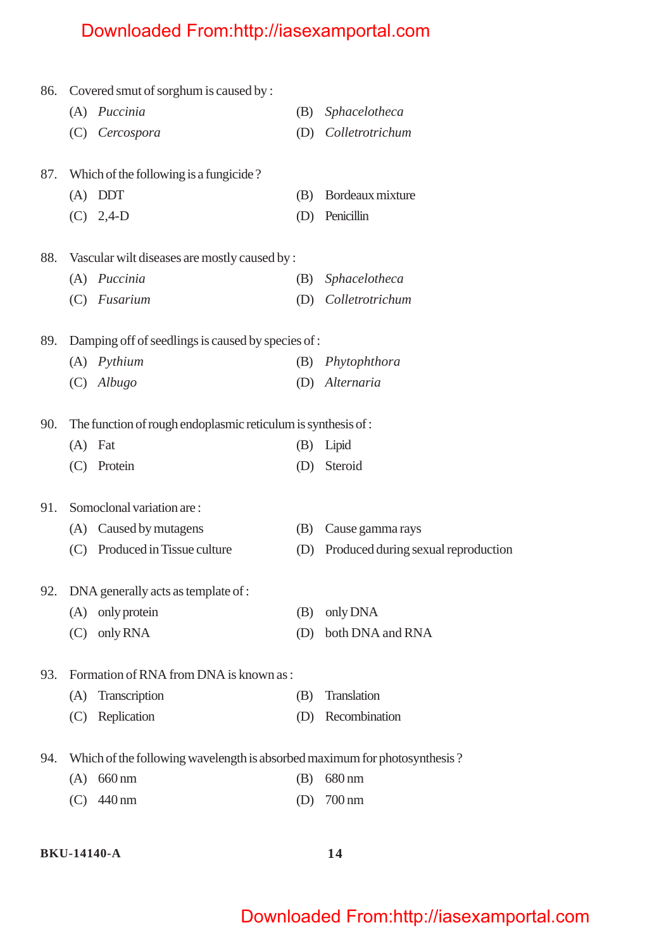| 86. |     | Covered smut of sorghum is caused by :                                    |     |                                     |
|-----|-----|---------------------------------------------------------------------------|-----|-------------------------------------|
|     |     | (A) Puccinia                                                              | (B) | Sphacelotheca                       |
|     |     | (C) Cercospora                                                            | (D) | Colletrotrichum                     |
| 87. |     | Which of the following is a fungicide?                                    |     |                                     |
|     |     | $(A)$ DDT                                                                 | (B) | Bordeaux mixture                    |
|     |     | $(C)$ 2,4-D                                                               | (D) | Penicillin                          |
| 88. |     | Vascular wilt diseases are mostly caused by :                             |     |                                     |
|     |     | (A) Puccinia                                                              | (B) | Sphacelotheca                       |
|     |     | (C) Fusarium                                                              | (D) | Colletrotrichum                     |
| 89. |     | Damping off of seedlings is caused by species of:                         |     |                                     |
|     |     | (A) Pythium                                                               | (B) | Phytophthora                        |
|     |     | $(C)$ Albugo                                                              |     | (D) Alternaria                      |
| 90. |     | The function of rough endoplasmic reticulum is synthesis of:              |     |                                     |
|     |     | $(A)$ Fat                                                                 | (B) | Lipid                               |
|     |     | (C) Protein                                                               | (D) | Steroid                             |
| 91. |     | Somoclonal variation are:                                                 |     |                                     |
|     |     | (A) Caused by mutagens                                                    | (B) | Cause gamma rays                    |
|     | (C) | Produced in Tissue culture                                                | (D) | Produced during sexual reproduction |
| 92. |     | DNA generally acts as template of :                                       |     |                                     |
|     |     | (A) only protein                                                          | (B) | only DNA                            |
|     | (C) | only RNA                                                                  | (D) | both DNA and RNA                    |
| 93. |     | Formation of RNA from DNA is known as:                                    |     |                                     |
|     | (A) | Transcription                                                             | (B) | Translation                         |
|     | (C) | Replication                                                               | (D) | Recombination                       |
| 94. |     | Which of the following wavelength is absorbed maximum for photosynthesis? |     |                                     |
|     | (A) | 660 nm                                                                    | (B) | 680 nm                              |
|     | (C) | 440 nm                                                                    | (D) | 700 nm                              |
|     |     |                                                                           |     |                                     |

#### **BKU-14140-A 14**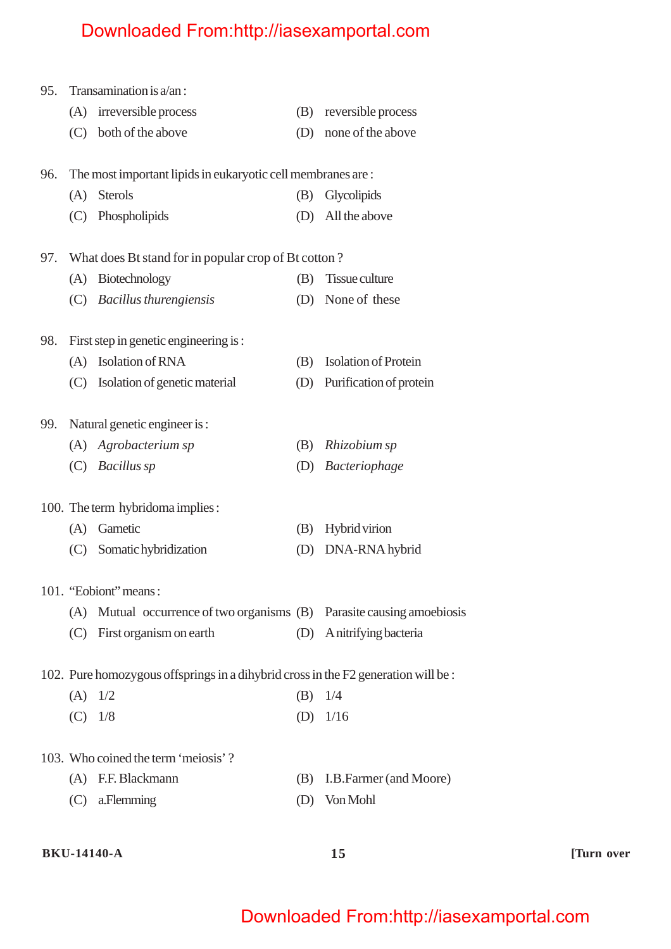| 95. | Transamination is $a/an$ : |                                                                                    |     |                             |
|-----|----------------------------|------------------------------------------------------------------------------------|-----|-----------------------------|
|     | (A)                        | irreversible process                                                               | (B) | reversible process          |
|     |                            | (C) both of the above                                                              | (D) | none of the above           |
| 96. |                            | The most important lipids in eukaryotic cell membranes are :                       |     |                             |
|     | (A)                        | <b>Sterols</b>                                                                     | (B) | Glycolipids                 |
|     | (C)                        | Phospholipids                                                                      | (D) | All the above               |
| 97. |                            | What does Bt stand for in popular crop of Bt cotton?                               |     |                             |
|     | (A)                        | Biotechnology                                                                      | (B) | <b>Tissue culture</b>       |
|     | (C)                        | <b>Bacillus thurengiensis</b>                                                      | (D) | None of these               |
| 98. |                            | First step in genetic engineering is :                                             |     |                             |
|     | (A)                        | Isolation of RNA                                                                   | (B) | <b>Isolation of Protein</b> |
|     | (C)                        | Isolation of genetic material                                                      | (D) | Purification of protein     |
| 99. |                            | Natural genetic engineer is:                                                       |     |                             |
|     |                            | (A) Agrobacterium sp                                                               | (B) | Rhizobium sp                |
|     |                            | (C) Bacillus sp                                                                    | (D) | Bacteriophage               |
|     |                            | 100. The term hybridoma implies:                                                   |     |                             |
|     | (A)                        | Gametic                                                                            | (B) | <b>Hybrid</b> virion        |
|     | (C)                        | Somatic hybridization                                                              | (D) | DNA-RNA hybrid              |
|     |                            | 101. "Eobiont" means:                                                              |     |                             |
|     |                            | (A) Mutual occurrence of two organisms (B) Parasite causing amoebiosis             |     |                             |
|     |                            | (C) First organism on earth                                                        |     | (D) A nitrifying bacteria   |
|     |                            | 102. Pure homozygous offsprings in a dihybrid cross in the F2 generation will be : |     |                             |
|     |                            | $(A)$ 1/2                                                                          | (B) | 1/4                         |
|     |                            | $(C)$ 1/8                                                                          |     | (D) $1/16$                  |
|     |                            | 103. Who coined the term 'meiosis'?                                                |     |                             |
|     |                            | (A) F.F. Blackmann                                                                 | (B) | I.B.Farmer (and Moore)      |
|     |                            | $(C)$ a. Flemming                                                                  | (D) | Von Mohl                    |

#### **BKU-14140-A 15 [Turn over**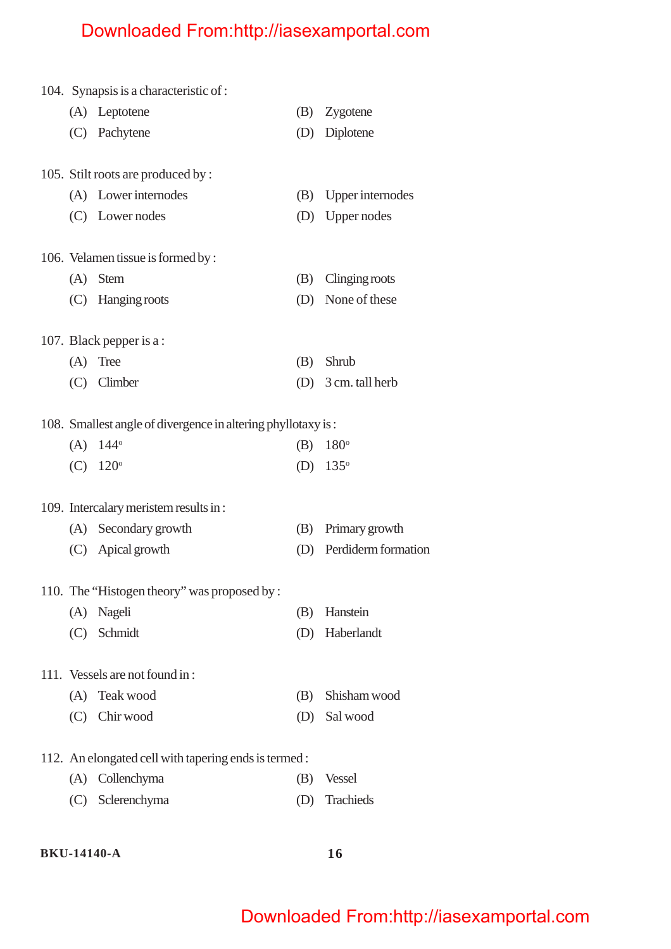|     | 104. Synapsis is a characteristic of:                        |     |                         |
|-----|--------------------------------------------------------------|-----|-------------------------|
|     | (A) Leptotene                                                | (B) | Zygotene                |
|     | (C) Pachytene                                                | (D) | Diplotene               |
|     | 105. Stilt roots are produced by:                            |     |                         |
|     | (A) Lower internodes                                         | (B) | <b>Upper</b> internodes |
|     | (C) Lower nodes                                              |     | (D) Upper nodes         |
|     | 106. Velamen tissue is formed by:                            |     |                         |
|     | $(A)$ Stem                                                   | (B) | Clinging roots          |
|     | (C) Hanging roots                                            | (D) | None of these           |
|     | 107. Black pepper is a:                                      |     |                         |
| (A) | Tree                                                         | (B) | Shrub                   |
|     | $(C)$ Climber                                                | (D) | 3 cm. tall herb         |
|     | 108. Smallest angle of divergence in altering phyllotaxy is: |     |                         |
| (A) | $144^\circ$                                                  | (B) | $180^\circ$             |
|     | $(C)$ 120 <sup>o</sup>                                       | (D) | $135^\circ$             |
|     | 109. Intercalary meristem results in:                        |     |                         |
|     | (A) Secondary growth                                         | (B) | Primary growth          |
|     | (C) Apical growth                                            |     | (D) Perdiderm formation |
|     | 110. The "Histogen theory" was proposed by:                  |     |                         |
| (A) | Nageli                                                       | (B) | Hanstein                |
|     | (C) Schmidt                                                  | (D) | Haberlandt              |
|     | 111. Vessels are not found in:                               |     |                         |
| (A) | Teak wood                                                    | (B) | Shisham wood            |
|     | (C) Chir wood                                                | (D) | Sal wood                |
|     | 112. An elongated cell with tapering ends is termed:         |     |                         |
|     | (A) Collenchyma                                              | (B) | <b>Vessel</b>           |
|     | (C) Sclerenchyma                                             | (D) | Trachieds               |
|     |                                                              |     |                         |

#### **BKU-14140-A 16**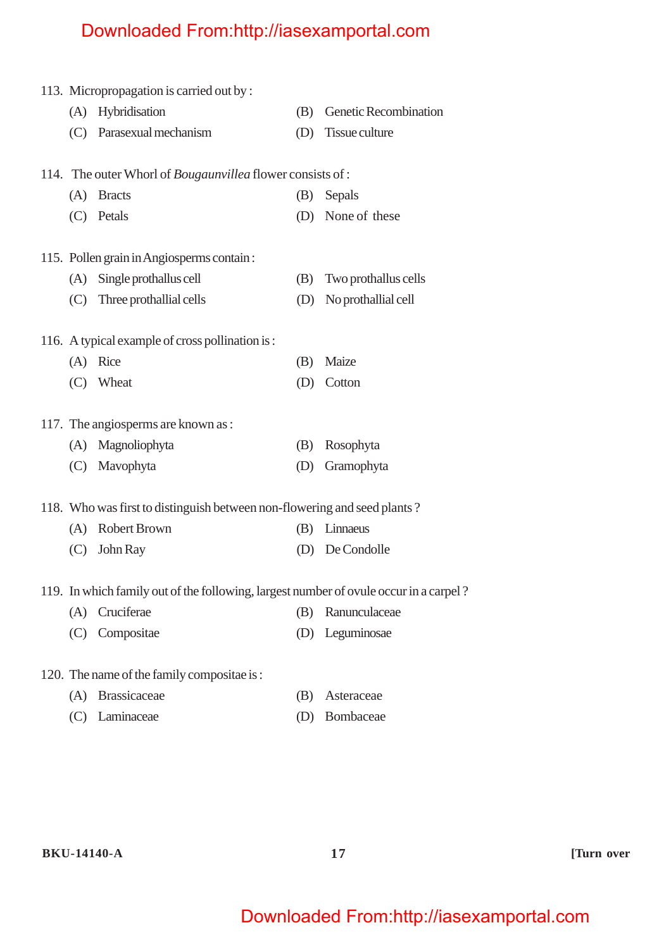|     | 113. Micropropagation is carried out by:                                              |     | Genetic Recombination |
|-----|---------------------------------------------------------------------------------------|-----|-----------------------|
| (A) | Hybridisation                                                                         | (B) |                       |
|     | (C) Parasexual mechanism                                                              | (D) | Tissue culture        |
|     | 114. The outer Whorl of <i>Bougaunvillea</i> flower consists of :                     |     |                       |
| (A) | <b>Bracts</b>                                                                         | (B) | Sepals                |
|     | (C) Petals                                                                            |     | (D) None of these     |
|     |                                                                                       |     |                       |
|     | 115. Pollen grain in Angiosperms contain:                                             |     |                       |
| (A) | Single prothallus cell                                                                | (B) | Two prothallus cells  |
| (C) | Three prothallial cells                                                               | (D) | No prothallial cell   |
|     |                                                                                       |     |                       |
|     | 116. A typical example of cross pollination is:                                       |     |                       |
|     | (A) Rice                                                                              | (B) | Maize                 |
| (C) | Wheat                                                                                 | (D) | Cotton                |
|     | 117. The angiosperms are known as:                                                    |     |                       |
| (A) | Magnoliophyta                                                                         | (B) | Rosophyta             |
| (C) | Mavophyta                                                                             | (D) | Gramophyta            |
|     |                                                                                       |     |                       |
|     | 118. Who was first to distinguish between non-flowering and seed plants?              |     |                       |
| (A) | <b>Robert Brown</b>                                                                   | (B) | Linnaeus              |
| (C) | John Ray                                                                              | (D) | De Condolle           |
|     |                                                                                       |     |                       |
|     | 119. In which family out of the following, largest number of ovule occur in a carpel? |     |                       |
| (A) | Cruciferae                                                                            | (B) | Ranunculaceae         |
| (C) | Compositae                                                                            | (D) | Leguminosae           |
|     |                                                                                       |     |                       |
|     | 120. The name of the family compositae is:                                            |     |                       |
| (A) | <b>Brassicaceae</b>                                                                   | (B) | Asteraceae            |
| (C) | Laminaceae                                                                            | (D) | Bombaceae             |
|     |                                                                                       |     |                       |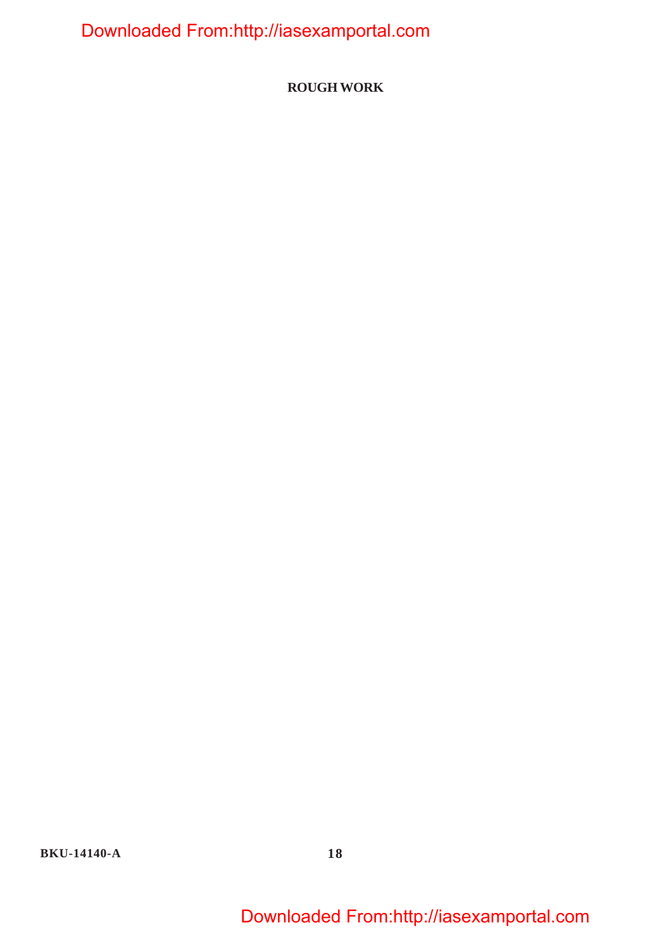**ROUGH WORK**

**BKU-14140-A 18**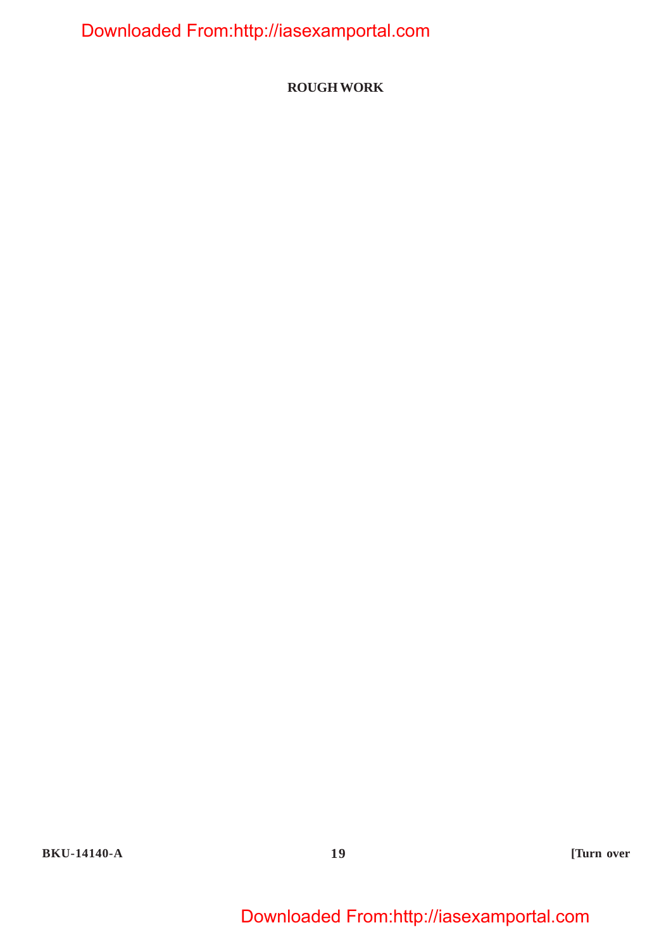**ROUGH WORK**

**BKU-14140-A 19 [Turn over**